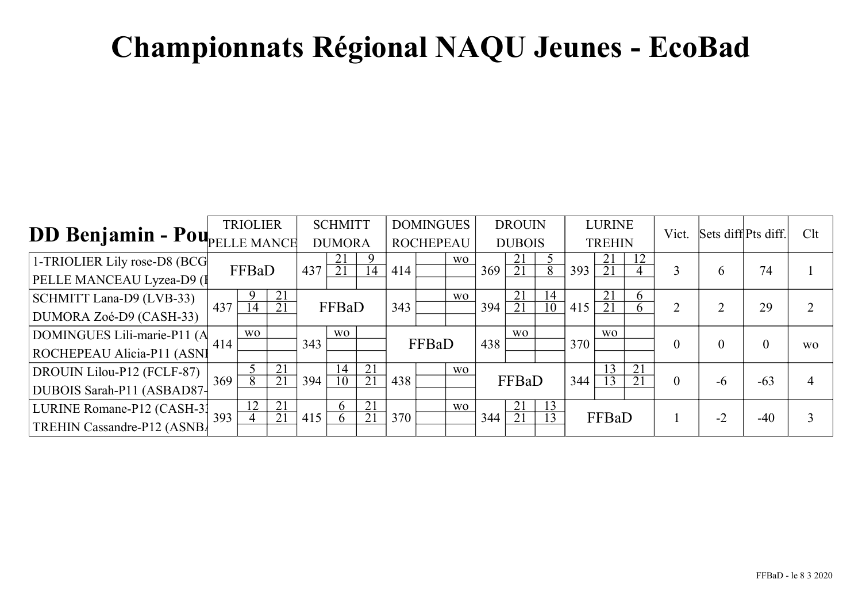| DD Benjamin - PoupELLE MANCE | <b>TRIOLIER</b> |                 |                       | <b>SCHMITT</b> |                       |                       | <b>DOMINGUES</b> |                  |                | <b>DROUIN</b> |                       |                       | <b>LURINE</b> |                       |                                    | Sets diff Pts diff. |          | Clt              |           |
|------------------------------|-----------------|-----------------|-----------------------|----------------|-----------------------|-----------------------|------------------|------------------|----------------|---------------|-----------------------|-----------------------|---------------|-----------------------|------------------------------------|---------------------|----------|------------------|-----------|
|                              |                 |                 |                       |                | <b>DUMORA</b>         |                       |                  | <b>ROCHEPEAU</b> |                |               | <b>DUBOIS</b>         |                       |               | <b>TREHIN</b>         |                                    |                     |          |                  |           |
| 1-TRIOLIER Lily rose-D8 (BCG |                 | FFBaD           |                       | 437            | 21<br>21              | 9<br>$\overline{A}$   |                  |                  | <b>WO</b>      | 369           | 21<br>21              | 8                     | 393           | 21<br>21              |                                    | 3                   |          | 74               |           |
| PELLE MANCEAU Lyzea-D9 (I    |                 |                 |                       |                |                       |                       | 414              |                  |                |               |                       |                       |               |                       |                                    |                     | 6        |                  |           |
| SCHMITT Lana-D9 (LVB-33)     | 437             | 14              | 21<br>21              |                | FFBaD                 |                       | 343              |                  | W <sub>O</sub> | 394           | 21<br>$\overline{21}$ | 14<br>$1\overline{0}$ | 415           | 21<br>21              | 6.                                 | 2                   | 2        | 29               | ◠         |
| DUMORA Zoé-D9 (CASH-33)      |                 |                 |                       |                |                       |                       |                  |                  |                |               |                       |                       |               |                       |                                    |                     |          |                  |           |
| DOMINGUES Lili-marie-P11 (A  | 414             | <b>WO</b>       |                       | 343            | <b>WO</b>             |                       |                  | FFBaD            |                | 438           | <b>WO</b>             |                       | 370           | <b>WO</b>             |                                    | $\boldsymbol{0}$    | $\theta$ | $\boldsymbol{0}$ |           |
| ROCHEPEAU Alicia-P11 (ASNI   |                 |                 |                       |                |                       |                       |                  |                  |                |               |                       |                       |               |                       |                                    |                     |          |                  | <b>WO</b> |
| DROUIN Lilou-P12 (FCLF-87)   | 369             |                 | 21<br>$\overline{21}$ |                | 14<br>$\overline{10}$ | 21<br>$\overline{21}$ |                  |                  | <b>WO</b>      |               |                       |                       |               | 13<br>$\overline{13}$ | $\overline{2}1$<br>$\overline{21}$ |                     |          |                  |           |
| DUBOIS Sarah-P11 (ASBAD87-   |                 |                 |                       | 394            |                       |                       | 438              |                  |                |               | FFBaD                 |                       | 344           |                       |                                    | $\theta$            | $-6$     | $-63$            | 4         |
| LURINE Romane-P12 (CASH-31)  | 393             | $1\overline{2}$ | $\overline{21}$       |                | 6                     | 21                    |                  |                  | <b>WO</b>      |               | 21                    | 13                    |               |                       |                                    |                     | $-2$     |                  | 3         |
| TREHIN Cassandre-P12 (ASNB)  |                 | 4               | 21                    | 415            | 6                     | 21                    | 370              |                  |                | 344           | 21                    | 13                    |               | FFBaD                 |                                    |                     |          | $-40$            |           |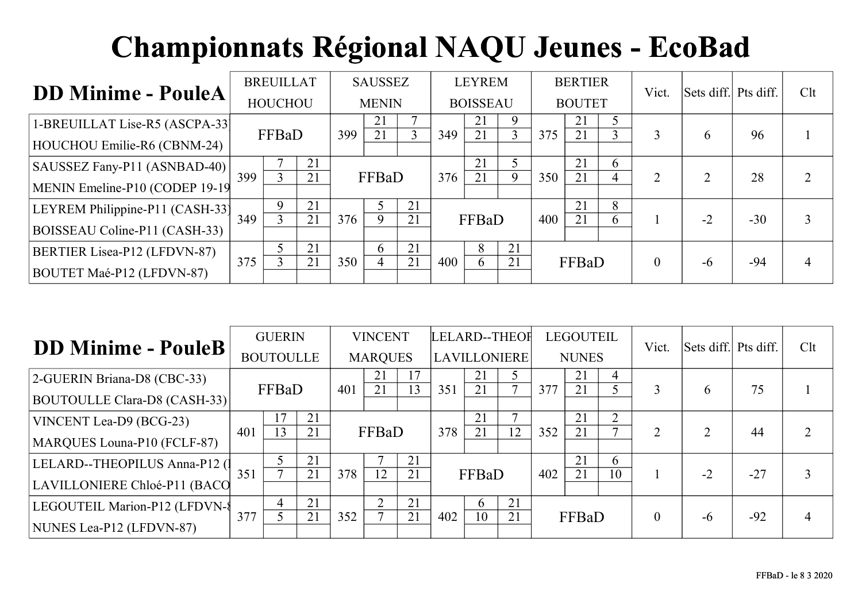| <b>DD Minime - PouleA</b>       | <b>BREUILLAT</b><br><b>HOUCHOU</b> |               | <b>SAUSSEZ</b> |     |              | <b>LEYREM</b> |     |                 | <b>BERTIER</b> |     |               | Vict.        | Sets diff. Pts diff. |              | Clt   |  |
|---------------------------------|------------------------------------|---------------|----------------|-----|--------------|---------------|-----|-----------------|----------------|-----|---------------|--------------|----------------------|--------------|-------|--|
|                                 |                                    |               |                |     | <b>MENIN</b> |               |     | <b>BOISSEAU</b> |                |     | <b>BOUTET</b> |              |                      |              |       |  |
| 1-BREUILLAT Lise-R5 (ASCPA-33)  |                                    |               |                |     | 21           |               |     | 21              | 9              |     | 21            |              |                      |              |       |  |
| HOUCHOU Emilie-R6 (CBNM-24)     |                                    | FFBaD         |                | 399 | 21           |               | 349 | 21              | 3              | 375 | 21            |              |                      | <sub>t</sub> | 96    |  |
| SAUSSEZ Fany-P11 (ASNBAD-40)    |                                    | $\rightarrow$ | 21             |     |              |               |     | 21              |                |     | 21            | $\theta$     |                      |              |       |  |
| MENIN Emeline-P10 (CODEP 19-19) | 399                                |               | 21             |     | FFBaD        |               | 376 | 21              | 9              | 350 | 21            | 4            |                      |              | 28    |  |
| LEYREM Philippine-P11 (CASH-33) |                                    |               | 21             |     |              | 21            |     |                 |                |     | 21            | 8            |                      |              |       |  |
| BOISSEAU Coline-P11 (CASH-33)   | 349                                |               | 21             | 376 | 9            | 21            |     | FFBaD           |                | 400 | 21            | <sub>0</sub> |                      | $-2$         | $-30$ |  |
| BERTIER Lisea-P12 (LFDVN-87)    |                                    |               | 21             |     | <sub>6</sub> | 21            |     | 8               | 21             |     |               |              |                      |              |       |  |
| BOUTET Maé-P12 (LFDVN-87)       | 375                                |               | 21             | 350 |              | 21            | 400 | 6               | 21             |     | FFBaD         |              | $\theta$             | $-6$         | $-94$ |  |

| <b>DD Minime - PouleB</b>     | <b>GUERIN</b><br><b>BOUTOULLE</b> |       |    | <b>VINCENT</b><br><b>MARQUES</b> |       |    | LELARD--THEOF<br><b>LAVILLONIERE</b> |              |              | <b>LEGOUTEIL</b><br><b>NUNES</b> |       |                | Vict.    | Sets diff. Pts diff. |       | Clt       |
|-------------------------------|-----------------------------------|-------|----|----------------------------------|-------|----|--------------------------------------|--------------|--------------|----------------------------------|-------|----------------|----------|----------------------|-------|-----------|
| 2-GUERIN Briana-D8 (CBC-33)   |                                   |       |    |                                  | 21    | 17 |                                      | 21           |              |                                  | 21    | 4              |          |                      |       |           |
| BOUTOULLE Clara-D8 (CASH-33)  |                                   | FFBaD |    | 401                              | 21    | 13 | 351                                  | 21           | $\mathbf{r}$ | 377                              | 21    |                | 3        | <sub>b</sub>         | 75    |           |
| VINCENT Lea-D9 (BCG-23)       |                                   | 7     | 21 |                                  |       |    |                                      | 21           |              |                                  | 21    | $\overline{2}$ |          |                      |       | $\bigcap$ |
| MARQUES Louna-P10 (FCLF-87)   | 401                               | 13    | 21 |                                  | FFBaD |    | 378                                  | 21           | 12           | 352                              | 21    |                | 2        |                      | 44    |           |
| LELARD--THEOPILUS Anna-P12 (  |                                   |       | 21 |                                  |       | 21 |                                      |              |              |                                  | 21    | $\mathfrak b$  |          |                      |       |           |
| LAVILLONIERE Chloé-P11 (BACO  | 351                               |       | 21 | 378                              | 12    | 21 |                                      | FFBaD        |              | 402                              | 21    | 10             |          | $-2$                 | $-27$ |           |
| LEGOUTEIL Marion-P12 (LFDVN-8 |                                   | 4     | 21 |                                  | ◠     | 21 |                                      | <sub>t</sub> | 21           |                                  |       |                |          |                      |       |           |
| NUNES Lea-P12 (LFDVN-87)      | 377                               |       | 21 | 352                              |       | 21 | 402                                  | 10           | 21           |                                  | FFBaD |                | $\theta$ | $-6$                 | $-92$ | 4         |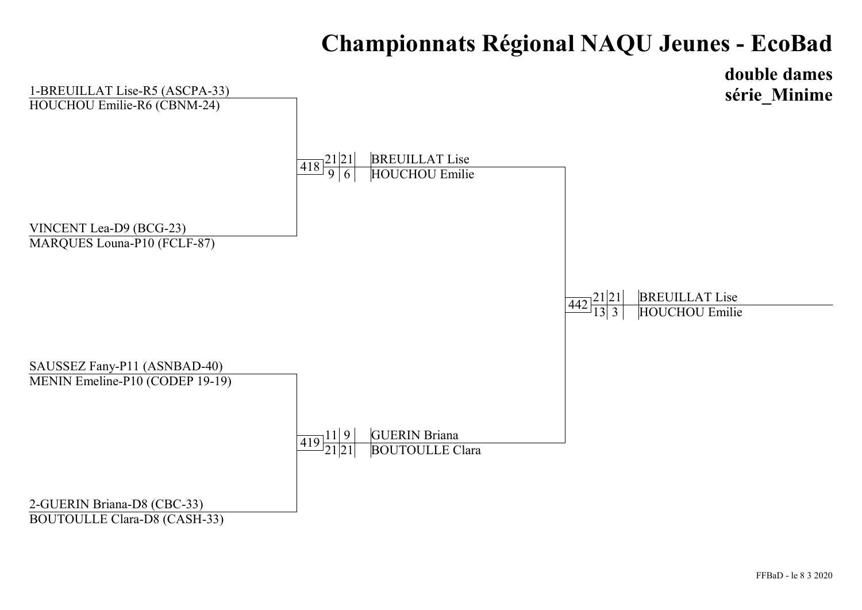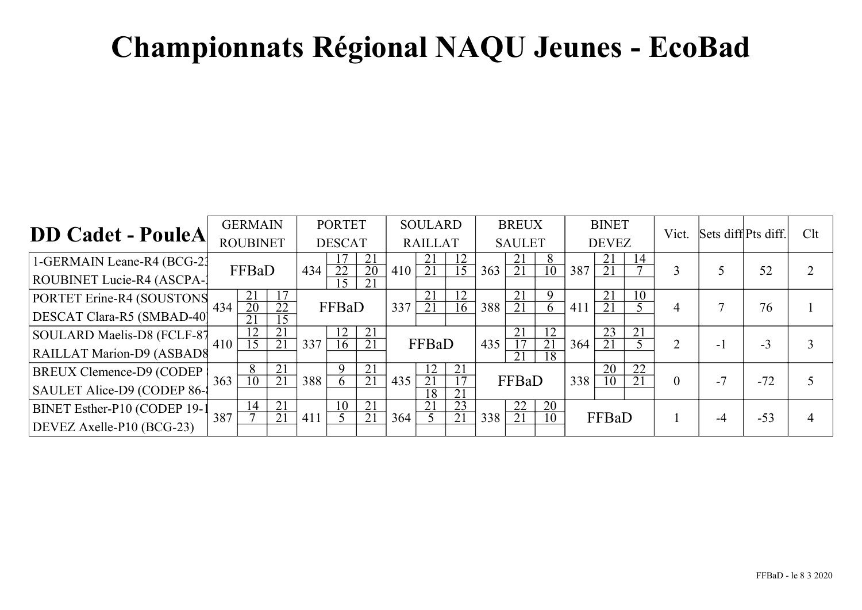| <b>DD Cadet - PouleA</b>     |     | <b>GERMAIN</b>        |                       | <b>PORTET</b> |          |                       | <b>SOULARD</b> |          |                                    | <b>BREUX</b> |                       |                                    | <b>BINET</b> |                       |                 | Vict.          | Sets diff Pts diff. |       | Clt |
|------------------------------|-----|-----------------------|-----------------------|---------------|----------|-----------------------|----------------|----------|------------------------------------|--------------|-----------------------|------------------------------------|--------------|-----------------------|-----------------|----------------|---------------------|-------|-----|
|                              |     | <b>ROUBINET</b>       |                       | <b>DESCAT</b> |          | <b>RAILLAT</b>        |                |          | <b>SAULET</b>                      |              |                       | <b>DEVEZ</b>                       |              |                       |                 |                |                     |       |     |
| 1-GERMAIN Leane-R4 (BCG-21)  |     |                       |                       |               |          | 21                    |                | 21       | 12                                 |              | 21                    | 8                                  |              | 21                    | 14              |                |                     |       | ↑   |
| ROUBINET Lucie-R4 (ASCPA-)   |     | FFBaD                 |                       | 434           | 22<br>15 | 20<br>21              | 410            | 21       | 15                                 | 363          | 21                    | 10                                 | 387          | 21                    |                 | 3              |                     | 52    |     |
| PORTET Erine-R4 (SOUSTONS    | 434 | 21<br>$\overline{20}$ | 22                    |               | FFBaD    |                       | 337            | 21       | 12                                 |              | 21<br>21              | 9                                  | 411          | 21<br>$2\overline{1}$ | 10              |                | 7                   | 76    |     |
| DESCAT Clara-R5 (SMBAD-40)   |     |                       | $\overline{15}$       |               |          |                       |                | 21       | 16                                 | 388          |                       | 6                                  |              |                       |                 | 4              |                     |       |     |
| SOULARD Maelis-D8 (FCLF-87   |     |                       | 21<br>21              |               | 12       | 21<br>$\overline{21}$ |                | FFBaD    |                                    |              | 21                    | $\overline{12}$<br>$\overline{21}$ |              | 23                    | $\overline{21}$ |                |                     |       |     |
| RAILLAT Marion-D9 (ASBAD8    | 410 | 5                     |                       | 337           | 16       |                       |                |          |                                    | 435          | $\overline{21}$       | 18                                 | 364          |                       |                 | 2              | - 1                 | $-3$  |     |
| BREUX Clemence-D9 (CODEP)    |     | $\mathbf{o}$          | $\overline{21}$       |               | $\Omega$ | 21                    |                |          | 21                                 |              |                       |                                    |              | $2\overline{0}$       | $\overline{22}$ |                |                     |       |     |
| SAULET Alice-D9 (CODEP 86-   | 363 | $\overline{10}$       | $\overline{21}$       | 388           | $\sigma$ | 21                    | 435            | 21<br>18 | $\overline{17}$<br>$\overline{21}$ |              | FFBaD                 |                                    | 338          | 10                    | $\overline{21}$ | $\overline{0}$ | $-7$                | $-72$ |     |
| BINET Esther-P10 (CODEP 19-1 | 387 | $1\overline{4}$       | $\overline{21}$<br>21 | 411           | 10       | 21<br>21              | 364            | 21       | $\overline{23}$<br>$\overline{21}$ | 338          | $\overline{22}$<br>21 | 20<br>10                           |              | FFBaD                 |                 |                | $-4$                | $-53$ |     |
| DEVEZ Axelle-P10 (BCG-23)    |     |                       |                       |               |          |                       |                |          |                                    |              |                       |                                    |              |                       |                 |                |                     |       | 4   |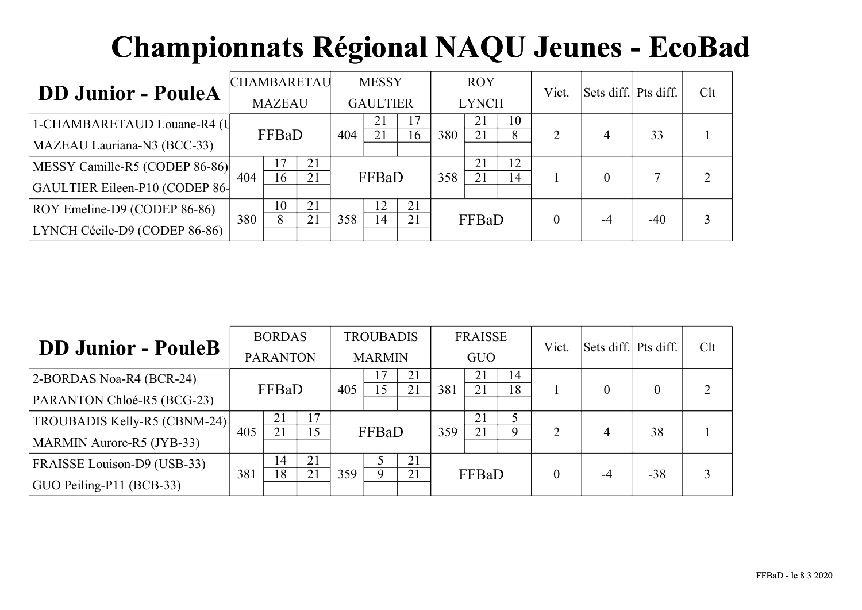| <b>DD Junior - PouleA</b>      |               | <b>CHAMBARETAU</b> |          |                 | <b>MESSY</b> |    |              | <b>ROY</b> |          | Vict. | Sets diff. Pts diff. |       | Clt |  |
|--------------------------------|---------------|--------------------|----------|-----------------|--------------|----|--------------|------------|----------|-------|----------------------|-------|-----|--|
|                                | <b>MAZEAU</b> |                    |          | <b>GAULTIER</b> |              |    | <b>LYNCH</b> |            |          |       |                      |       |     |  |
| 1-CHAMBARETAUD Louane-R4 (U    |               | FFBaD              |          | 404             | 21           |    | 380          | 21<br>21   | 10<br>8  | 2     |                      |       |     |  |
| MAZEAU Lauriana-N3 (BCC-33)    |               |                    |          |                 | 21           | 16 |              |            |          |       | 4                    | 33    |     |  |
| MESSY Camille-R5 (CODEP 86-86) | 404           | 16                 | 21<br>21 |                 | FFBaD        |    | 358          | 21<br>21   | 12<br>14 |       |                      |       |     |  |
| GAULTIER Eileen-P10 (CODEP 86- |               |                    |          |                 |              |    |              |            |          |       |                      |       |     |  |
| ROY Emeline-D9 (CODEP 86-86)   |               | 10                 | 21       |                 |              | 21 |              |            |          |       |                      |       |     |  |
| LYNCH Cécile-D9 (CODEP 86-86)  | 380           |                    | 21       | 358             | 14           | 21 | FFBaD        |            |          |       |                      | $-40$ | 3   |  |

| <b>DD Junior - PouleB</b>    |                 | <b>BORDAS</b> |          |               | <b>TROUBADIS</b> |          | <b>FRAISSE</b> |          |          | Vict.    | Sets diff. Pts diff. |       | Clt |  |
|------------------------------|-----------------|---------------|----------|---------------|------------------|----------|----------------|----------|----------|----------|----------------------|-------|-----|--|
|                              | <b>PARANTON</b> |               |          | <b>MARMIN</b> |                  |          | <b>GUO</b>     |          |          |          |                      |       |     |  |
| 2-BORDAS Noa-R4 (BCR-24)     |                 | FFBaD         |          | 405           | 15               | 21<br>21 | 381            | 21<br>21 | 14<br>18 |          | $\theta$             |       | 2   |  |
| PARANTON Chloé-R5 (BCG-23)   |                 |               |          |               |                  |          |                |          |          |          |                      |       |     |  |
| TROUBADIS Kelly-R5 (CBNM-24) |                 | 21            | 17       |               |                  |          |                | 21       | Q        |          |                      |       |     |  |
| MARMIN Aurore-R5 (JYB-33)    | 405             | 21            | 15       |               | FFBaD            |          | 359            | 21       |          | 2        | 4                    | 38    |     |  |
| FRAISSE Louison-D9 (USB-33)  |                 | 14            | 21<br>21 |               | $\mathbf Q$      | 21       |                |          |          |          |                      |       |     |  |
| GUO Peiling-P11 (BCB-33)     | 381             | 18            |          | 359           |                  | 21       |                | FFBaD    |          | $\theta$ | -4                   | $-38$ | 3   |  |